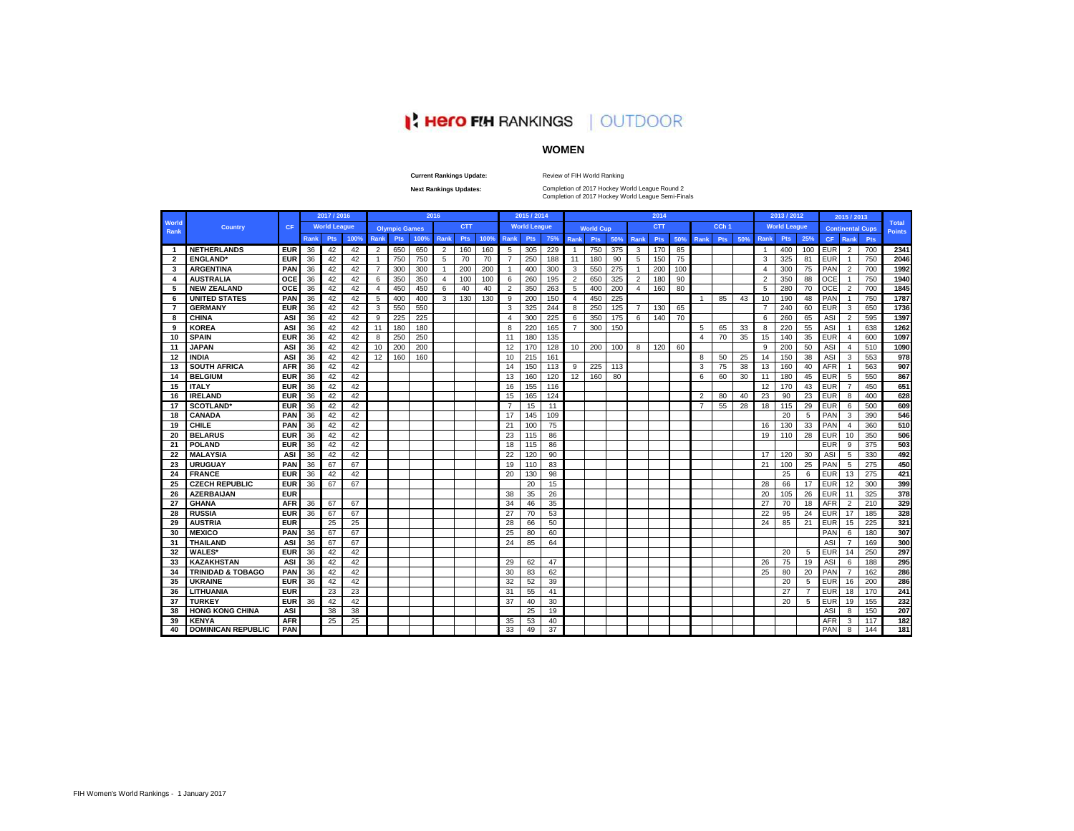# **A Hero FIH RANKINGS | OUTDOOR**

# **WOMEN**

#### **Current Rankings Update:**

Review of FIH World Ranking

**Next Rankings Updates:** 

Completion of 2017 Hockey World League Semi-Finals Completion of 2017 Hockey World League Round 2

|                         |                              |            |             | 2017 / 2016         |      |                |                      |      | 2016           |            |      |                | 2015 / 2014         |     |                |                  |     |                | 2014       |     |                |                  |     |                | 2013 / 2012         |                |            | 2015 / 2013             |     |                               |
|-------------------------|------------------------------|------------|-------------|---------------------|------|----------------|----------------------|------|----------------|------------|------|----------------|---------------------|-----|----------------|------------------|-----|----------------|------------|-----|----------------|------------------|-----|----------------|---------------------|----------------|------------|-------------------------|-----|-------------------------------|
| World<br>Rank           | <b>Country</b>               | CF         |             | <b>World League</b> |      |                | <b>Olympic Games</b> |      |                | <b>CTT</b> |      |                | <b>World League</b> |     |                | <b>World Cup</b> |     |                | <b>CTT</b> |     |                | CCh <sub>1</sub> |     |                | <b>World League</b> |                |            | <b>Continental Cups</b> |     | <b>Total</b><br><b>Points</b> |
|                         |                              |            | <b>Rank</b> | <b>Pts</b>          | 100% | <b>Rank</b>    | <b>Pts</b>           | 100% | Rank           | Pts        | 100% | <b>Rank</b>    | <b>Pts</b>          | 75% | Rank           | <b>Pts</b>       | 50% | Rank           | Pts        | 50% | Rank           | Pts              | 50% | <b>Rank</b>    | <b>Pts</b>          | 25%            | CF.        | Rank                    | Pts |                               |
| $\overline{1}$          | <b>NETHERLANDS</b>           | <b>EUR</b> | 36          | 42                  | 42   | $\overline{2}$ | 650                  | 650  | 2              | 160        | 160  | -5             | 305                 | 229 | 1              | 750              | 375 | 3              | 170        | 85  |                |                  |     |                | 400                 | 100            | <b>EUR</b> | $\overline{2}$          | 700 | 2341                          |
| $\overline{\mathbf{2}}$ | <b>ENGLAND</b> *             | <b>EUR</b> | 36          | 42                  | 42   | $\overline{1}$ | 750                  | 750  | 5              | 70         | 70   | $\overline{7}$ | 250                 | 188 | 11             | 180              | 90  | 5              | 150        | 75  |                |                  |     | 3              | 325                 | 81             | <b>EUR</b> | $\overline{1}$          | 750 | 2046                          |
| 3                       | <b>ARGENTINA</b>             | PAN        | 36          | 42                  | 42   |                | 300                  | 300  | $\mathbf{1}$   | 200        | 200  | -1             | 400                 | 300 | 3              | 550              | 275 | $\overline{1}$ | 200        | 100 |                |                  |     | 4              | 300                 | 75             | PAN        | $\overline{2}$          | 700 | 1992                          |
| 4                       | <b>AUSTRALIA</b>             | <b>OCE</b> | 36          | 42                  | 42   | 6              | 350                  | 350  | $\overline{4}$ | 100        | 100  | 6              | 260                 | 195 | $\overline{2}$ | 650              | 325 | $\overline{2}$ | 180        | 90  |                |                  |     | $\overline{2}$ | 350                 | 88             | OCE        | $\overline{1}$          | 750 | 1940                          |
| 5                       | <b>NEW ZEALAND</b>           | <b>OCE</b> | 36          | 42                  | 42   | $\overline{4}$ | 450                  | 450  | 6              | 40         | 40   | $\overline{2}$ | 350                 | 263 | 5              | 400              | 200 | $\overline{4}$ | 160        | 80  |                |                  |     | 5              | 280                 | 70             | OCE        | $\overline{2}$          | 700 | 1845                          |
| 6                       | <b>UNITED STATES</b>         | PAN        | 36          | 42                  | 42   | 5              | 400                  | 400  | 3              | 130        | 130  | 9              | 200                 | 150 | $\overline{4}$ | 450              | 225 |                |            |     | -1             | 85               | 43  | 10             | 190                 | 48             | PAN        | $\overline{1}$          | 750 | 1787                          |
| $\overline{7}$          | <b>GERMANY</b>               | <b>EUR</b> | 36          | 42                  | 42   | 3              | 550                  | 550  |                |            |      | 3              | 325                 | 244 | 8              | 250              | 125 | $\overline{7}$ | 130        | 65  |                |                  |     | $\overline{7}$ | 240                 | 60             | <b>EUR</b> | 3                       | 650 | 1736                          |
| 8                       | <b>CHINA</b>                 | ASI        | 36          | 42                  | 42   | 9              | 225                  | 225  |                |            |      | 4              | 300                 | 225 | 6              | 350              | 175 | 6              | 140        | 70  |                |                  |     | 6              | 260                 | 65             | ASI        | $\overline{2}$          | 595 | 1397                          |
| 9                       | <b>KOREA</b>                 | ASI        | 36          | 42                  | 42   | 11             | 180                  | 180  |                |            |      | 8              | 220                 | 165 | $\overline{7}$ | 300              | 150 |                |            |     | 5              | 65               | 33  | 8              | 220                 | 55             | ASI        | $\overline{1}$          | 638 | 1262                          |
| 10                      | <b>SPAIN</b>                 | <b>EUR</b> | 36          | 42                  | 42   | 8              | 250                  | 250  |                |            |      | 11             | 180                 | 135 |                |                  |     |                |            |     | $\overline{a}$ | 70               | 35  | 15             | 140                 | 35             | <b>EUR</b> | $\overline{4}$          | 600 | 1097                          |
| 11                      | <b>JAPAN</b>                 | ASI        | 36          | 42                  | 42   | 10             | 200                  | 200  |                |            |      | 12             | 170                 | 128 | 10             | 200              | 100 | 8              | 120        | 60  |                |                  |     | 9              | 200                 | 50             | ASI        | $\overline{4}$          | 510 | 1090                          |
| 12                      | <b>INDIA</b>                 | ASI        | 36          | 42                  | 42   | 12             | 160                  | 160  |                |            |      | 10             | 215                 | 161 |                |                  |     |                |            |     | $\mathbf{R}$   | 50               | 25  | 14             | 150                 | 38             | ASI        | 3                       | 553 | 978                           |
| 13                      | <b>SOUTH AFRICA</b>          | <b>AFR</b> | 36          | 42                  | 42   |                |                      |      |                |            |      | 14             | 150                 | 113 | 9              | 225              | 113 |                |            |     | 3              | 75               | 38  | 13             | 160                 | 40             | <b>AFR</b> | $\overline{1}$          | 563 | 907                           |
| 14                      | <b>BELGIUM</b>               | <b>EUR</b> | 36          | 42                  | 42   |                |                      |      |                |            |      | 13             | 160                 | 120 | 12             | 160              | 80  |                |            |     | 6              | 60               | 30  | 11             | 180                 | 45             | <b>EUR</b> | 5                       | 550 | 867                           |
| 15                      | <b>ITALY</b>                 | <b>EUR</b> | 36          | 42                  | 42   |                |                      |      |                |            |      | 16             | 155                 | 116 |                |                  |     |                |            |     |                |                  |     | 12             | 170                 | 43             | <b>EUR</b> | $\overline{7}$          | 450 | 651                           |
| 16                      | <b>IRELAND</b>               | <b>EUR</b> | 36          | 42                  | 42   |                |                      |      |                |            |      | 15             | 165                 | 124 |                |                  |     |                |            |     | $\mathcal{P}$  | 80               | 40  | 23             | 90                  | 23             | <b>EUR</b> | 8                       | 400 | 628                           |
| 17                      | <b>SCOTLAND</b>              | <b>EUR</b> | 36          | 42                  | 42   |                |                      |      |                |            |      | $\overline{7}$ | 15                  | 11  |                |                  |     |                |            |     |                | 55               | 28  | 18             | 115                 | 29             | <b>EUR</b> | 6                       | 500 | 609                           |
| 18                      | <b>CANADA</b>                | PAN        | 36          | 42                  | 42   |                |                      |      |                |            |      | 17             | 145                 | 109 |                |                  |     |                |            |     |                |                  |     |                | 20                  | 5              | PAN        | 3                       | 390 | 546                           |
| 19                      | <b>CHILE</b>                 | PAN        | 36          | 42                  | 42   |                |                      |      |                |            |      | 21             | 100                 | 75  |                |                  |     |                |            |     |                |                  |     | 16             | 130                 | 33             | PAN        | $\overline{4}$          | 360 | 510                           |
| 20                      | <b>BELARUS</b>               | <b>EUR</b> | 36          | 42                  | 42   |                |                      |      |                |            |      | 23             | 115                 | 86  |                |                  |     |                |            |     |                |                  |     | 19             | 110                 | 28             | <b>EUR</b> | 10                      | 350 | 506                           |
| 21                      | <b>POLAND</b>                | <b>EUR</b> | 36          | 42                  | 42   |                |                      |      |                |            |      | 18             | 115                 | 86  |                |                  |     |                |            |     |                |                  |     |                |                     |                | <b>EUR</b> | 9                       | 375 | 503                           |
| 22                      | <b>MALAYSIA</b>              | ASI        | 36          | 42                  | 42   |                |                      |      |                |            |      | 22             | 120                 | 90  |                |                  |     |                |            |     |                |                  |     | 17             | 120                 | 30             | ASI        | 5                       | 330 | 492                           |
| 23                      | <b>URUGUAY</b>               | PAN        | 36          | 67                  | 67   |                |                      |      |                |            |      | 19             | 110                 | 83  |                |                  |     |                |            |     |                |                  |     | 21             | 100                 | 25             | PAN        | 5                       | 275 | 450                           |
| 24                      | <b>FRANCE</b>                | <b>EUR</b> | 36          | 42                  | 42   |                |                      |      |                |            |      | 20             | 130                 | 98  |                |                  |     |                |            |     |                |                  |     |                | 25                  | 6              | EUR        | 13                      | 275 | 421                           |
| 25                      | <b>CZECH REPUBLIC</b>        | <b>EUR</b> | 36          | 67                  | 67   |                |                      |      |                |            |      |                | 20                  | 15  |                |                  |     |                |            |     |                |                  |     | 28             | 66                  | 17             | <b>EUR</b> | 12                      | 300 | 399                           |
| 26                      | <b>AZERBAIJAN</b>            | <b>EUR</b> |             |                     |      |                |                      |      |                |            |      | 38             | 35                  | 26  |                |                  |     |                |            |     |                |                  |     | 20             | 105                 | 26             | <b>EUR</b> | 11                      | 325 | 378                           |
| 27                      | <b>GHANA</b>                 | <b>AFR</b> | 36          | 67                  | 67   |                |                      |      |                |            |      | 34             | 46                  | 35  |                |                  |     |                |            |     |                |                  |     | 27             | 70                  | 18             | <b>AFR</b> | $\overline{2}$          | 210 | 329                           |
| 28                      | <b>RUSSIA</b>                | <b>EUR</b> | 36          | 67                  | 67   |                |                      |      |                |            |      | 27             | 70                  | 53  |                |                  |     |                |            |     |                |                  |     | 22             | 95                  | 24             | <b>EUR</b> | 17                      | 185 | 328                           |
| 29                      | <b>AUSTRIA</b>               | <b>EUR</b> |             | 25                  | 25   |                |                      |      |                |            |      | 28             | 66                  | 50  |                |                  |     |                |            |     |                |                  |     | 24             | 85                  | 21             | EUR        | 15                      | 225 | 321                           |
| 30                      | <b>MEXICO</b>                | PAN        | 36          | 67                  | 67   |                |                      |      |                |            |      | 25             | 80                  | 60  |                |                  |     |                |            |     |                |                  |     |                |                     |                | PAN        | 6                       | 180 | 307                           |
| 31                      | <b>THAILAND</b>              | ASI        | 36          | 67                  | 67   |                |                      |      |                |            |      | 24             | 85                  | 64  |                |                  |     |                |            |     |                |                  |     |                |                     |                | ASI        | 7                       | 169 | 300                           |
| 32                      | <b>WALES*</b>                | <b>EUR</b> | 36          | 42                  | 42   |                |                      |      |                |            |      |                |                     |     |                |                  |     |                |            |     |                |                  |     |                | 20                  | 5              | <b>EUR</b> | 14                      | 250 | 297                           |
| 33                      | <b>KAZAKHSTAN</b>            | ASI        | 36          | 42                  | 42   |                |                      |      |                |            |      | 29             | 62                  | 47  |                |                  |     |                |            |     |                |                  |     | 26             | 75                  | 19             | ASI        | 6                       | 188 | 295                           |
| 34                      | <b>TRINIDAD &amp; TOBAGO</b> | <b>PAN</b> | 36          | 42                  | 42   |                |                      |      |                |            |      | 30             | 83                  | 62  |                |                  |     |                |            |     |                |                  |     | 25             | 80                  | 20             | PAN        | $\overline{7}$          | 162 | 286                           |
| 35                      | <b>UKRAINE</b>               | <b>EUR</b> | 36          | 42                  | 42   |                |                      |      |                |            |      | 32             | 52                  | 39  |                |                  |     |                |            |     |                |                  |     |                | 20                  | 5              | <b>EUR</b> | 16                      | 200 | 286                           |
| 36                      | LITHUANIA                    | <b>EUR</b> |             | 23                  | 23   |                |                      |      |                |            |      | 31             | 55                  | 41  |                |                  |     |                |            |     |                |                  |     |                | 27                  | $\overline{7}$ | EUR        | 18                      | 170 | 241                           |
| 37                      | <b>TURKEY</b>                | <b>EUR</b> | 36          | 42                  | 42   |                |                      |      |                |            |      | 37             | 40                  | 30  |                |                  |     |                |            |     |                |                  |     |                | 20                  | 5              | <b>EUR</b> | 19                      | 155 | 232                           |
| 38                      | <b>HONG KONG CHINA</b>       | ASI        |             | 38                  | 38   |                |                      |      |                |            |      |                | 25                  | 19  |                |                  |     |                |            |     |                |                  |     |                |                     |                | ASI        | 8                       | 150 | 207                           |
| 39                      | <b>KENYA</b>                 | <b>AFR</b> |             | 25                  | 25   |                |                      |      |                |            |      | 35             | 53                  | 40  |                |                  |     |                |            |     |                |                  |     |                |                     |                | AFR        | 3                       | 117 | 182                           |
| 40                      | <b>DOMINICAN REPUBLIC</b>    | <b>PAN</b> |             |                     |      |                |                      |      |                |            |      | 33             | 49                  | 37  |                |                  |     |                |            |     |                |                  |     |                |                     |                | PAN        | 8                       | 144 | 181                           |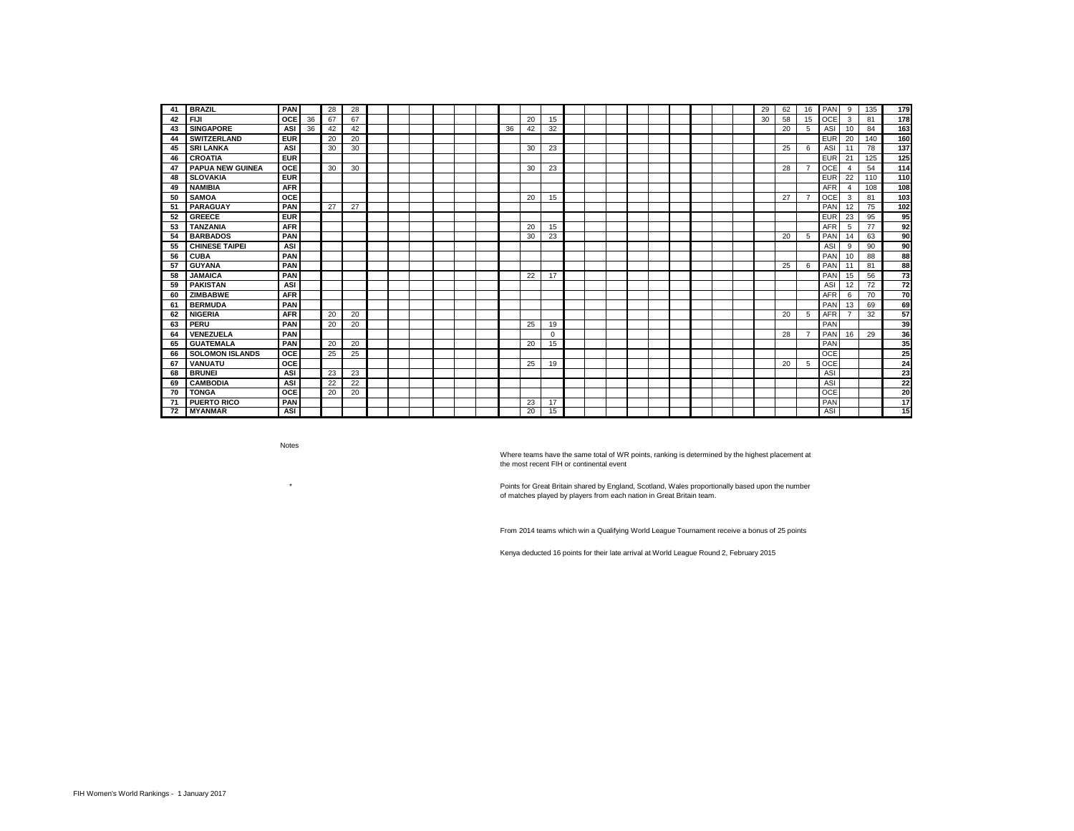| 41 | <b>BRAZIL</b>           | <b>PAN</b> |    | 28 | 28 |  |  |  |    |    |          |  |  |  |  | 29 | 62 | 16             | PAN        | 9            | 135 | 179 |
|----|-------------------------|------------|----|----|----|--|--|--|----|----|----------|--|--|--|--|----|----|----------------|------------|--------------|-----|-----|
| 42 | <b>FIJI</b>             | <b>OCE</b> | 36 | 67 | 67 |  |  |  |    | 20 | 15       |  |  |  |  | 30 | 58 | 15             | OCE        | 3            | 81  | 178 |
| 43 | <b>SINGAPORE</b>        | ASI        | 36 | 42 | 42 |  |  |  | 36 | 42 | 32       |  |  |  |  |    | 20 | 5              | ASI        | 10           | 84  | 163 |
| 44 | <b>SWITZERLAND</b>      | <b>EUR</b> |    | 20 | 20 |  |  |  |    |    |          |  |  |  |  |    |    |                | <b>EUR</b> | 20           | 140 | 160 |
| 45 | <b>SRI LANKA</b>        | ASI        |    | 30 | 30 |  |  |  |    | 30 | 23       |  |  |  |  |    | 25 | 6              | ASI        | 11           | 78  | 137 |
| 46 | <b>CROATIA</b>          | <b>EUR</b> |    |    |    |  |  |  |    |    |          |  |  |  |  |    |    |                | <b>EUR</b> | 21           | 125 | 125 |
| 47 | <b>PAPUA NEW GUINEA</b> | <b>OCE</b> |    | 30 | 30 |  |  |  |    | 30 | 23       |  |  |  |  |    | 28 | $\overline{7}$ | <b>OCE</b> | $\mathbf{A}$ | 54  | 114 |
| 48 | <b>SLOVAKIA</b>         | <b>EUR</b> |    |    |    |  |  |  |    |    |          |  |  |  |  |    |    |                | <b>EUR</b> | 22           | 110 | 110 |
| 49 | <b>NAMIBIA</b>          | <b>AFR</b> |    |    |    |  |  |  |    |    |          |  |  |  |  |    |    |                | AFR        | $\Delta$     | 108 | 108 |
| 50 | <b>SAMOA</b>            | <b>OCE</b> |    |    |    |  |  |  |    | 20 | 15       |  |  |  |  |    | 27 | $\overline{7}$ | <b>OCE</b> | 3            | 81  | 103 |
| 51 | <b>PARAGUAY</b>         | <b>PAN</b> |    | 27 | 27 |  |  |  |    |    |          |  |  |  |  |    |    |                | PAN        | 12           | 75  | 102 |
| 52 | <b>GREECE</b>           | <b>EUR</b> |    |    |    |  |  |  |    |    |          |  |  |  |  |    |    |                | <b>EUR</b> | 23           | 95  | 95  |
| 53 | <b>TANZANIA</b>         | <b>AFR</b> |    |    |    |  |  |  |    | 20 | 15       |  |  |  |  |    |    |                | <b>AFR</b> | 5            | 77  | 92  |
| 54 | <b>BARBADOS</b>         | PAN        |    |    |    |  |  |  |    | 30 | 23       |  |  |  |  |    | 20 | 5              | PAN        | 14           | 63  | 90  |
| 55 | <b>CHINESE TAIPEI</b>   | ASI        |    |    |    |  |  |  |    |    |          |  |  |  |  |    |    |                | ASI        | 9            | 90  | 90  |
| 56 | <b>CUBA</b>             | PAN        |    |    |    |  |  |  |    |    |          |  |  |  |  |    |    |                | PAN        | 10           | 88  | 88  |
| 57 | <b>GUYANA</b>           | PAN        |    |    |    |  |  |  |    |    |          |  |  |  |  |    | 25 | - 6            | PAN        | 11           | 81  | 88  |
| 58 | <b>JAMAICA</b>          | PAN        |    |    |    |  |  |  |    | 22 | 17       |  |  |  |  |    |    |                | PAN        | 15           | 56  | 73  |
| 59 | <b>PAKISTAN</b>         | ASI        |    |    |    |  |  |  |    |    |          |  |  |  |  |    |    |                | ASI        | 12           | 72  | 72  |
| 60 | <b>ZIMBABWE</b>         | <b>AFR</b> |    |    |    |  |  |  |    |    |          |  |  |  |  |    |    |                | <b>AFR</b> | 6            | 70  | 70  |
| 61 | <b>BERMUDA</b>          | PAN        |    |    |    |  |  |  |    |    |          |  |  |  |  |    |    |                | PAN        | 13           | 69  | 69  |
| 62 | <b>NIGERIA</b>          | <b>AFR</b> |    | 20 | 20 |  |  |  |    |    |          |  |  |  |  |    | 20 | 5              | <b>AFR</b> |              | 32  | 57  |
| 63 | PERU                    | PAN        |    | 20 | 20 |  |  |  |    | 25 | 19       |  |  |  |  |    |    |                | PAN        |              |     | 39  |
| 64 | <b>VENEZUELA</b>        | PAN        |    |    |    |  |  |  |    |    | $\Omega$ |  |  |  |  |    | 28 | $\overline{7}$ | PAN        | 16           | 29  | 36  |
| 65 | <b>GUATEMALA</b>        | PAN        |    | 20 | 20 |  |  |  |    | 20 | 15       |  |  |  |  |    |    |                | PAN        |              |     | 35  |
| 66 | <b>SOLOMON ISLANDS</b>  | <b>OCE</b> |    | 25 | 25 |  |  |  |    |    |          |  |  |  |  |    |    |                | OCE        |              |     | 25  |
| 67 | <b>VANUATU</b>          | <b>OCE</b> |    |    |    |  |  |  |    | 25 | 19       |  |  |  |  |    | 20 | 5              | <b>OCE</b> |              |     | 24  |
| 68 | <b>BRUNEI</b>           | ASI        |    | 23 | 23 |  |  |  |    |    |          |  |  |  |  |    |    |                | ASI        |              |     | 23  |
| 69 | <b>CAMBODIA</b>         | ASI        |    | 22 | 22 |  |  |  |    |    |          |  |  |  |  |    |    |                | ASI        |              |     | 22  |
| 70 | <b>TONGA</b>            | <b>OCE</b> |    | 20 | 20 |  |  |  |    |    |          |  |  |  |  |    |    |                | <b>OCE</b> |              |     | 20  |
| 71 | <b>PUERTO RICO</b>      | PAN        |    |    |    |  |  |  |    | 23 | 17       |  |  |  |  |    |    |                | PAN        |              |     | 17  |
| 72 | <b>MYANMAR</b>          | ASI        |    |    |    |  |  |  |    | 20 | 15       |  |  |  |  |    |    |                | <b>ASI</b> |              |     | 15  |

Notes

 $^\star$ 

Where teams have the same total of WR points, ranking is determined by the highest placement at the most recent FIH or continental event

Points for Great Britain shared by England, Scotland, Wales proportionally based upon the number of matches played by players from each nation in Great Britain team.

From 2014 teams which win a Qualifying World League Tournament receive a bonus of 25 points

Kenya deducted 16 points for their late arrival at World League Round 2, February 2015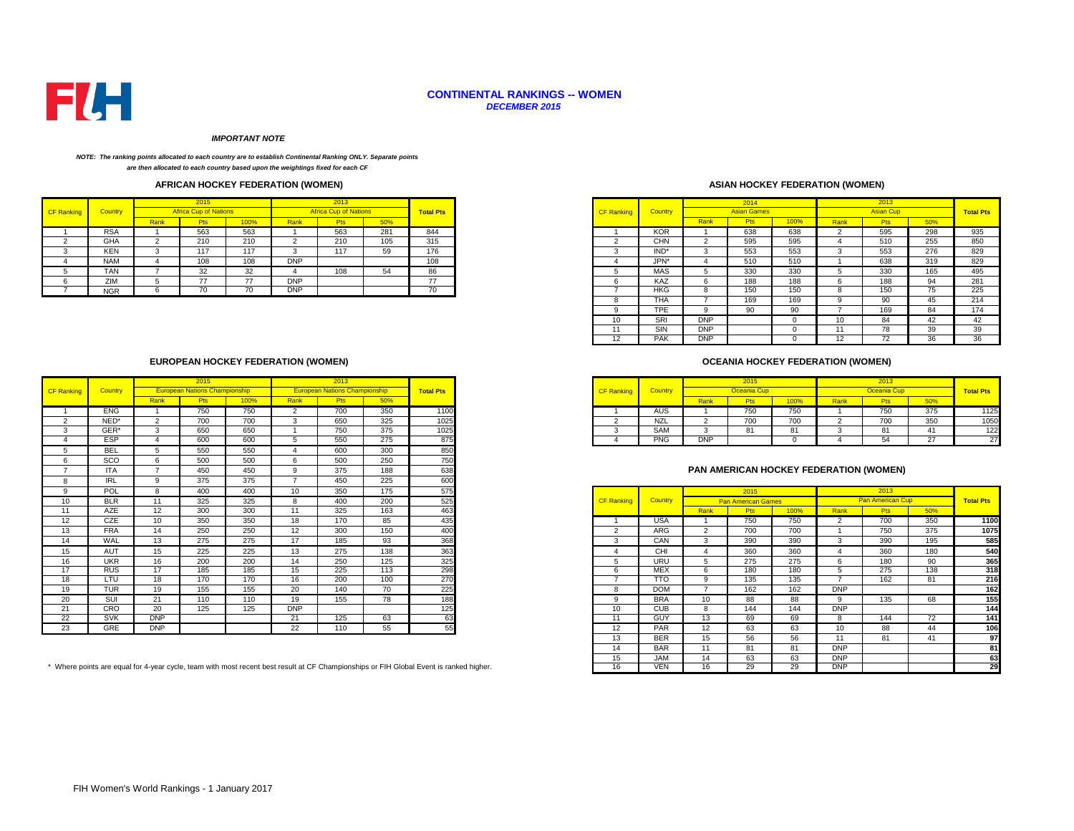

#### **CONTINENTAL RANKINGS -- WOMEN** *DECEMBER 2015*

#### *IMPORTANT NOTE*

#### *NOTE: The ranking points allocated to each country are to establish Continental Ranking ONLY. Separate points are then allocated to each country based upon the weightings fixed for each CF*

## **AFRICAN HOCKEY FEDERATION (WOMEN)**

|            |            |      |                              |      |            | 2013                         |     |                  |
|------------|------------|------|------------------------------|------|------------|------------------------------|-----|------------------|
| CF Ranking | Country    |      | <b>Africa Cup of Nations</b> |      |            | <b>Africa Cup of Nations</b> |     | <b>Total Pts</b> |
|            |            | Rank | <b>Pts</b>                   | 100% | Rank       | <b>Pts</b>                   | 50% |                  |
|            | <b>RSA</b> |      | 563                          | 563  |            | 563                          | 281 | 844              |
|            | <b>GHA</b> |      | 210                          | 210  |            | 210                          | 105 | 315              |
|            | <b>KEN</b> |      | 117                          | 117  |            | 117                          | ວອ  | 176              |
|            | <b>NAM</b> |      | 108                          | 108  | <b>DNP</b> |                              |     | 108              |
|            | TAN        |      | 32<br>ےت                     | 32   |            | 108                          |     |                  |
|            | ZIM        |      | $\rightarrow$                | --   | <b>DNP</b> |                              |     |                  |
|            | <b>NGR</b> |      | 70                           |      | <b>DNP</b> |                              |     | $\sim$<br>70     |

## **ASIAN HOCKEY FEDERATION (WOMEN)**

| 2015                         |      |            | 2013                         |     |                  |                   |                |            | 2014               |      |          | 2013             |     |                  |
|------------------------------|------|------------|------------------------------|-----|------------------|-------------------|----------------|------------|--------------------|------|----------|------------------|-----|------------------|
| <b>Africa Cup of Nations</b> |      |            | <b>Africa Cup of Nations</b> |     | <b>Total Pts</b> | <b>CF Ranking</b> | <b>Country</b> |            | <b>Asian Games</b> |      |          | <b>Asian Cup</b> |     | <b>Total Pts</b> |
| <b>Pts</b>                   | 100% | Rank       | Pts                          | 50% |                  |                   |                | Rank       | <b>Pts</b>         | 100% | Rank     | <b>Pts</b>       | 50% |                  |
| 563<br>563                   |      |            | 563                          | 281 | 844              |                   | <b>KOR</b>     |            | 638                | 638  |          | 595              | 298 | 935              |
| 210                          | 210  |            | 210                          | 105 | 315              |                   | <b>CHN</b>     | $\sim$     | 595                | 595  |          | 510              | 255 | 850              |
| 117                          | 117  | -5         | 117                          | 59  | 176              | 3                 | IND*           | -5         | 553                | 553  | 3        | 553              | 276 | 829              |
| 108                          | 108  | <b>DNP</b> |                              |     | 108              | 4                 | JPN*           |            | 510                | 510  |          | 638              | 319 | 829              |
| 32                           | 32   |            | 108                          | 54  | 86               |                   | <b>MAS</b>     |            | 330                | 330  |          | 330              | 165 | 495              |
| 77                           | 77   | <b>DNP</b> |                              |     | 77               | 6                 | KAZ            | 6          | 188                | 188  | h        | 188              | 94  | 281              |
| 70<br>70                     |      | <b>DNP</b> |                              |     | 70               |                   | HKG            | 8          | 150                | 150  | $\Omega$ | 150              | 75  | 225              |
|                              |      |            |                              |     |                  | $\Omega$<br>ŏ     | <b>THA</b>     |            | 169                | 169  |          | 90               | 45  | 214              |
|                              |      |            |                              |     |                  | 9                 | TPE            | o          | 90                 | 90   |          | 169              | 84  | 174              |
|                              |      |            |                              |     |                  | 10                | SRI            | <b>DNP</b> |                    |      | 10       | 84               | 42  | 42               |
|                              |      |            |                              |     |                  |                   | SIN            | <b>DNP</b> |                    |      |          | 78               | 39  | 39               |
|                              |      |            |                              |     |                  | 12                | <b>PAK</b>     | <b>DNP</b> |                    |      | 12       | 72               | 36  | 36               |

## **OCEANIA HOCKEY FEDERATION (WOMEN)**

|            |      | <u>zu i :</u>                        |     |             | ZU 13                                |       |                  |                   |               |            | 2015           |                     |      | 2013                |             |                  |
|------------|------|--------------------------------------|-----|-------------|--------------------------------------|-------|------------------|-------------------|---------------|------------|----------------|---------------------|------|---------------------|-------------|------------------|
| Country    |      | <b>European Nations Championship</b> |     |             | <b>European Nations Championship</b> |       | <b>Total Pts</b> | <b>CF Ranking</b> | <b>Countr</b> |            |                |                     |      | Oceania Cui         |             | <b>Total Pts</b> |
|            | Rank |                                      | 00% | <u>Rank</u> |                                      |       |                  |                   |               |            |                | 100%                | Rank |                     | <b>ROOZ</b> |                  |
| <b>ENG</b> |      | 750                                  | 750 |             | 700<br>7 UU                          | - 350 | 1100             |                   | AUS           |            | $- - -$<br>750 | 750                 |      | 750                 | 375         | 1125             |
| NED*       |      | $\sim$ 0.0<br>טע                     | 700 |             | 650                                  | 325   | 1025             |                   | NZL           |            | 700            | $\sim$ 0.00<br>7 UU |      | $\sim$ $\sim$<br>υu | 350         | 1050             |
| GER*       |      | 650                                  | 650 |             | 750                                  | 375   | 1025             |                   | SAM           |            |                | $^{\circ}$          |      |                     |             |                  |
| ESP        |      | 600                                  | 600 |             | 550                                  | 275   | 875              |                   | <b>PNG</b>    | <b>DNP</b> |                |                     |      |                     |             |                  |

## **PAN AMERICAN HOCKEY FEDERATION (WOMEN)**

|                 | POL        |            | 400                                                                                                                                 | 400 | 10         | 350 | 175 | 575 |                   |            |                   | 2015                      |      |            | 2013                    |     |                  |
|-----------------|------------|------------|-------------------------------------------------------------------------------------------------------------------------------------|-----|------------|-----|-----|-----|-------------------|------------|-------------------|---------------------------|------|------------|-------------------------|-----|------------------|
| 10              | <b>BLR</b> |            | 325                                                                                                                                 | 325 | 8          | 400 | 200 | 525 | <b>CF Ranking</b> | Country    |                   | <b>Pan American Games</b> |      |            | <b>Pan American Cup</b> |     | <b>Total Pts</b> |
| 11              | AZE        | 12         | 300                                                                                                                                 | 300 | 11         | 325 | 163 | 463 |                   |            | Rank              | <b>Pts</b>                | 100% | Rank       | <b>Pts</b>              | 50% |                  |
| 12 <sup>°</sup> | CZE        | 10         | 350                                                                                                                                 | 350 | 18         | 170 | 85  | 435 |                   | <b>USA</b> |                   | 750                       | 750  |            | 700                     | 350 | 1100             |
| 13              | <b>FRA</b> | 14         | 250                                                                                                                                 | 250 | 12         | 300 | 150 | 400 |                   | ARG        |                   | 700                       | 700  |            | 750                     | 375 | 1075             |
| 14              | WAL        | 13         | 275                                                                                                                                 | 275 | 17         | 185 | 93  | 368 |                   | CAN        |                   | 390                       | 390  |            | 390                     | 195 | 585              |
| 15              | AUT        | 15         | 225                                                                                                                                 | 225 | 13         | 275 | 138 | 363 |                   | CHI        |                   | 360                       | 360  |            | 360                     | 180 | 540              |
| 16              | <b>UKR</b> | 16         | 200                                                                                                                                 | 200 | 14         | 250 | 125 | 325 |                   | URU        |                   | 275                       | 275  |            | 180                     | 90  | 365              |
| 17              | <b>RUS</b> | 17         | 185                                                                                                                                 | 185 | 15         | 225 | 113 | 298 |                   | <b>MEX</b> |                   | 180                       | 180  |            | 275                     | 138 | 318              |
| 18              | LTU        | 18         | 170                                                                                                                                 | 170 | 16         | 200 | 100 | 270 |                   | <b>TTO</b> |                   | 135                       | 135  |            | 162                     | 81  | 216              |
| 19              | <b>TUR</b> | 19         | 155                                                                                                                                 | 155 | 20         | 140 | 70  | 225 |                   | <b>DOM</b> |                   | 162                       | 162  | <b>DNP</b> |                         |     | 162              |
| 20              | SUI        | 21         | 110                                                                                                                                 | 110 | 19         | 155 | 78  | 188 |                   | <b>BRA</b> | 10                | 88                        | 88   |            | 135                     | 68  | 155              |
| 21              | CRO        | 20         | 125                                                                                                                                 | 125 | <b>DNP</b> |     |     | 125 | 10                | <b>CUB</b> |                   | 144                       | 144  | <b>DNP</b> |                         |     | 144              |
| 22              | <b>SVK</b> | <b>DNP</b> |                                                                                                                                     |     | 21         | 125 | 63  | 63  | 11                | GUY        | 13                | 69                        | 69   |            | 144                     | 72  | 141              |
| 23              | GRE        | <b>DNP</b> |                                                                                                                                     |     | 22         | 110 | 55  | 55  | 12                | PAR        | $12 \overline{ }$ | 63                        | 63   | 10         | 88                      | 44  | 106              |
|                 |            |            |                                                                                                                                     |     |            |     |     |     | 13                | <b>BER</b> | 15                | 56                        | 56   |            | 81                      | 41  | 97               |
|                 |            |            |                                                                                                                                     |     |            |     |     |     | 14                | <b>BAR</b> | 11                | 81                        | 81   | <b>DNP</b> |                         |     | 81               |
|                 |            |            |                                                                                                                                     |     |            |     |     |     | 15                | <b>JAM</b> | 14                | 63                        | 63   | <b>DNP</b> |                         |     | 63               |
|                 |            |            | here points are equal for 4-year cycle, team with most recent best result at CF Championships or FIH Global Event is ranked higher. |     |            |     |     |     | 16                | <b>VEN</b> | 16                | 29                        | 29   | <b>DNP</b> |                         |     | 29               |

## **EUROPEAN HOCKEY FEDERATION (WOMEN)**

|                   |                   |                          | 2015                                 |      |                          | 2013                                 |     |                  |                   |            |                | 2015                      |      |                                               | 2013             |     |
|-------------------|-------------------|--------------------------|--------------------------------------|------|--------------------------|--------------------------------------|-----|------------------|-------------------|------------|----------------|---------------------------|------|-----------------------------------------------|------------------|-----|
| <b>CF Ranking</b> | Country           |                          | <b>European Nations Championship</b> |      |                          | <b>European Nations Championship</b> |     | <b>Total Pts</b> | <b>CF Ranking</b> | Country    |                | Oceania Cup               |      |                                               | Oceania Cup      |     |
|                   |                   | Rank                     | Pts                                  | 100% | Rank                     | <b>Pts</b>                           | 50% |                  |                   |            | Rank           | <b>Pts</b>                | 100% | Rank                                          | <b>Pts</b>       | 50% |
|                   | <b>ENG</b>        |                          | 750                                  | 750  | 2                        | 700                                  | 350 | 1100             |                   | AUS        |                | 750                       | 750  |                                               | 750              | 375 |
| $\overline{2}$    | NED*              | $\overline{2}$           | 700                                  | 700  | 3                        | 650                                  | 325 | 1025             | $\overline{2}$    | NZL        | 2              | 700                       | 700  | $\overline{2}$                                | 700              | 350 |
| 3                 | GER*              | 3                        | 650                                  | 650  |                          | 750                                  | 375 | 1025             | $\sim$            | SAM        | 3              | 81                        | 81   | 3                                             | 81               | 41  |
|                   | ESP               | 4                        | 600                                  | 600  | 5                        | 550                                  | 275 | 875              |                   | <b>PNG</b> | <b>DNP</b>     |                           |      |                                               | 54               | 27  |
| 5                 | <b>BEL</b>        | 5                        | 550                                  | 550  | $\boldsymbol{\Lambda}$   | 600                                  | 300 | 850              |                   |            |                |                           |      |                                               |                  |     |
|                   | SCO               | 6                        | 500                                  | 500  | 6                        | 500                                  | 250 | 750              |                   |            |                |                           |      |                                               |                  |     |
|                   | <b>ITA</b>        | $\overline{ }$           | 450                                  | 450  | 9                        | 375                                  | 188 | 638              |                   |            |                |                           |      | <b>PAN AMERICAN HOCKEY FEDERATION (WOMEN)</b> |                  |     |
| <sub>8</sub>      | <b>IRL</b>        | 9                        | 375                                  | 375  | $\overline{\phantom{a}}$ | 450                                  | 225 | 600              |                   |            |                |                           |      |                                               |                  |     |
| $\mathbf{q}$      | POL               | $\mathsf{R}$             | 400                                  | 400  | 10 <sup>1</sup>          | 350                                  | 175 | 575              |                   |            |                | 2015                      |      |                                               | 2013             |     |
| 10                | <b>BLR</b>        | 11                       | 325                                  | 325  | 8                        | 400                                  | 200 | 525              | <b>CF Ranking</b> | Country    |                | <b>Pan American Games</b> |      |                                               | Pan American Cup |     |
| 11                | AZE               | 12                       | 300                                  | 300  | 11                       | 325                                  | 163 | 463              |                   |            | Rank           | <b>Pts</b>                | 100% | Rank                                          | <b>Pts</b>       |     |
| 12 <sup>2</sup>   | <b>CZE</b>        | 10                       | 350                                  | 350  | 18                       | 170                                  | 85  | 435              |                   | <b>USA</b> |                | 750                       | 750  | $\overline{2}$                                | 700              |     |
| 13                | <b>FRA</b>        | 14                       | 250                                  | 250  | 12                       | 300                                  | 150 | 400              | $\sim$            | ARG        | $\overline{2}$ | 700                       | 700  |                                               | 750              |     |
| 14                | WAL               | 13                       | 275                                  | 275  | 17                       | 185                                  | 93  | 368              | 3                 | CAN        | 3              | 390                       | 390  | $\mathcal{R}$                                 | 390              |     |
| 15                | AUT               | 15                       | 225                                  | 225  | 13                       | 275                                  | 138 | 363              |                   | CHI        |                | 360                       | 360  |                                               | 360              |     |
| 16                | <b>UKR</b>        | 16                       | 200                                  | 200  | 14                       | 250                                  | 125 | 325              | 5                 | URU        | 5              | 275                       | 275  | 6                                             | 180              |     |
| 17                | <b>RUS</b>        | 17                       | 185                                  | 185  | 15                       | 225                                  | 113 | 298              | 6                 | <b>MEX</b> | 6              | 180                       | 180  |                                               | 275              |     |
| 18                | LTU               | 18                       | 170                                  | 170  | 16                       | 200                                  | 100 | 270              |                   | <b>TTO</b> | 9              | 135                       | 135  |                                               | 162              |     |
| 19                | <b>TUR</b>        | 19                       | 155                                  | 155  | 20                       | 140                                  | 70  | 225              | 8                 | <b>DOM</b> | -              | 162                       | 162  | <b>DNP</b>                                    |                  |     |
| 20                | <b>SUI</b>        | 21                       | 110                                  | 110  | 19                       | 155                                  | 78  | 188              | $\Omega$          | <b>BRA</b> | 10             | 88                        | 88   | $\Omega$                                      | 135              |     |
|                   |                   |                          |                                      |      |                          |                                      |     |                  |                   |            |                |                           |      |                                               |                  |     |
| 21                | CRO               | 20                       | 125                                  | 125  | <b>DNP</b>               |                                      |     | 125              | 10                | <b>CUB</b> | 8              | 144                       | 144  | <b>DNP</b>                                    |                  |     |
| 22                | <b>SVK</b><br>GRE | <b>DNP</b><br><b>DNP</b> |                                      |      | 21                       | 125                                  | 63  | 63<br>55         | 11                | GUY<br>PAR | 13             | 69                        | 69   | R                                             | 144              | 72  |